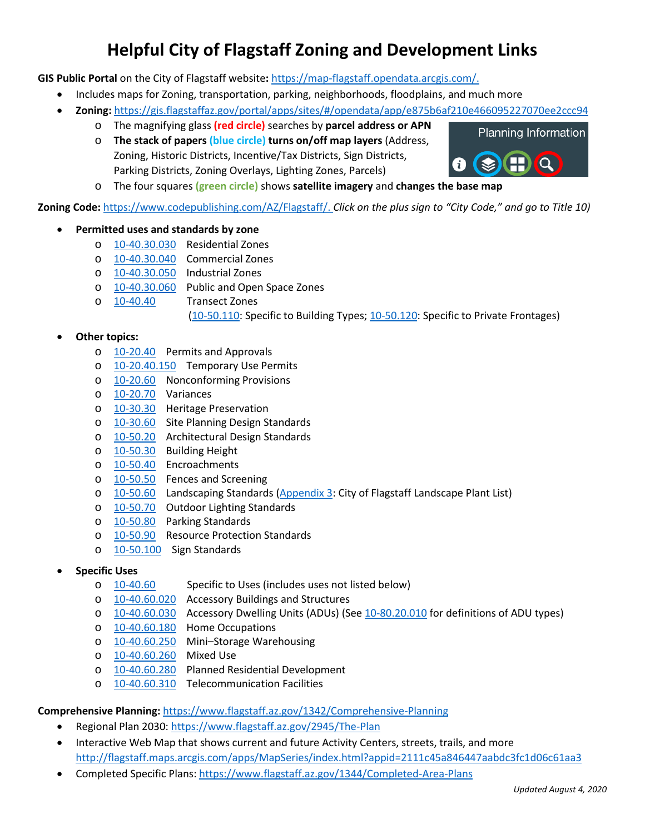# **Helpful City of Flagstaff Zoning and Development Links**

**GIS Public Portal** on the City of Flagstaff website**:** [https://map-flagstaff.opendata.arcgis.com/.](https://map-flagstaff.opendata.arcgis.com/)

- Includes maps for Zoning, transportation, parking, neighborhoods, floodplains, and much more
- **Zoning:** <https://gis.flagstaffaz.gov/portal/apps/sites/#/opendata/app/e875b6af210e466095227070ee2ccc94>
	- o The magnifying glass **(red circle)** searches by **parcel address or APN**
		- o **The stack of papers (blue circle) turns on/off map layers** (Address, Zoning, Historic Districts, Incentive/Tax Districts, Sign Districts, Parking Districts, Zoning Overlays, Lighting Zones, Parcels)



**Zoning Code:** [https://www.codepublishing.com/AZ/Flagstaff/.](https://www.codepublishing.com/AZ/Flagstaff/) *Click on the plus sign to "City Code," and go to Title 10)*

- **Permitted uses and standards by zone**
	- o [10-40.30.030](https://www.codepublishing.com/AZ/Flagstaff/html/Flagstaff10/Flagstaff1040030.html#10.40.30.030) Residential Zones
	- o [10-40.30.040](https://www.codepublishing.com/AZ/Flagstaff/html/Flagstaff10/Flagstaff1040030.html#10.40.30.040) Commercial Zones
	- o [10-40.30.050](https://www.codepublishing.com/AZ/Flagstaff/html/Flagstaff10/Flagstaff1040030.html#10.40.30.050) Industrial Zones
	- $\frac{10-40.30.060}{10-40.40}$  Public and Open Space Zones<br>  $\frac{10-40.40}{10}$  Transect Zones
		- **Transect Zones**

[\(10-50.110:](https://www.codepublishing.com/AZ/Flagstaff/html/Flagstaff10/Flagstaff1050110.html#10.50.110) Specific to Building Types; [10-50.120:](https://www.codepublishing.com/AZ/Flagstaff/html/Flagstaff10/Flagstaff1050120.html#10.50.120) Specific to Private Frontages)

### • **Other topics:**

- o [10-20.40](https://www.codepublishing.com/AZ/Flagstaff/html/Flagstaff10/Flagstaff1020040.html#10.20.40) Permits and Approvals
- o [10-20.40.150](https://www.codepublishing.com/AZ/Flagstaff/html/Flagstaff10/Flagstaff1020040.html#10.20.40.150) Temporary Use Permits
- o [10-20.60](https://www.codepublishing.com/AZ/Flagstaff/html/Flagstaff10/Flagstaff1020060.html#10.20.60) Nonconforming Provisions
- o [10-20.70](https://www.codepublishing.com/AZ/Flagstaff/html/Flagstaff10/Flagstaff1020070.html#10.20.70) Variances
- o [10-30.30](https://www.codepublishing.com/AZ/Flagstaff/html/Flagstaff10/Flagstaff1030030.html#10.30.30) Heritage Preservation
- o [10-30.60](https://www.codepublishing.com/AZ/Flagstaff/html/Flagstaff10/Flagstaff1030060.html#10.30.60) Site Planning Design Standards
- o [10-50.20](https://www.codepublishing.com/AZ/Flagstaff/html/Flagstaff10/Flagstaff1050020.html#10.50.20) Architectural Design Standards
- o [10-50.30](https://www.codepublishing.com/AZ/Flagstaff/html/Flagstaff10/Flagstaff1050030.html#10.50.30) Building Height
- o [10-50.40](https://www.codepublishing.com/AZ/Flagstaff/html/Flagstaff10/Flagstaff1050040.html#10.50.40) Encroachments
- o [10-50.50](https://www.codepublishing.com/AZ/Flagstaff/html/Flagstaff10/Flagstaff1050050.html#10.50.50) Fences and Screening
- o [10-50.60](https://www.codepublishing.com/AZ/Flagstaff/html/Flagstaff10/Flagstaff1050060.html#10.50.60) Landscaping Standards [\(Appendix 3:](https://www.codepublishing.com/AZ/Flagstaff/html/Flagstaff10/Flagstaff1099030.html) City of Flagstaff Landscape Plant List)
- o [10-50.70](https://www.codepublishing.com/AZ/Flagstaff/html/Flagstaff10/Flagstaff1050070.html#10.50.70) Outdoor Lighting Standards
- o [10-50.80](https://www.codepublishing.com/AZ/Flagstaff/html/Flagstaff10/Flagstaff1050080.html#10.50.80) Parking Standards
- o [10-50.90](https://www.codepublishing.com/AZ/Flagstaff/html/Flagstaff10/Flagstaff1050090.html#10.50.90) Resource Protection Standards
- o [10-50.100](https://www.codepublishing.com/AZ/Flagstaff/html/Flagstaff10/Flagstaff1050100.html#10.50.100) Sign Standards
- **Specific Uses**
	- o [10-40.60](https://www.codepublishing.com/AZ/Flagstaff/html/Flagstaff10/Flagstaff1040060.html#10.40.60) Specific to Uses (includes uses not listed below)
	- o [10-40.60.020](https://www.codepublishing.com/AZ/Flagstaff/html/Flagstaff10/Flagstaff1040060.html#10.40.60.020) Accessory Buildings and Structures
	- o [10-40.60.030](https://www.codepublishing.com/AZ/Flagstaff/html/Flagstaff10/Flagstaff1040060.html#10.40.60.030) Accessory Dwelling Units (ADUs) (See [10-80.20.010](https://www.codepublishing.com/AZ/Flagstaff/html/Flagstaff10/Flagstaff1080020.html#10.80.20.010) for definitions of ADU types)
	- o [10-40.60.180](https://www.codepublishing.com/AZ/Flagstaff/html/Flagstaff10/Flagstaff1040060.html#10.40.60.180) Home Occupations
	- o [10-40.60.250](https://www.codepublishing.com/AZ/Flagstaff/html/Flagstaff10/Flagstaff1040060.html#10.40.60.250) Mini–Storage Warehousing
	- o [10-40.60.260](https://www.codepublishing.com/AZ/Flagstaff/html/Flagstaff10/Flagstaff1040060.html#10.40.60.260) Mixed Use
	- o [10-40.60.280](https://www.codepublishing.com/AZ/Flagstaff/html/Flagstaff10/Flagstaff1040060.html#10.40.60.280) Planned Residential Development
	- o [10-40.60.310](https://www.codepublishing.com/AZ/Flagstaff/html/Flagstaff10/Flagstaff1040060.html#10.40.60.310) Telecommunication Facilities

### **Comprehensive Planning:** <https://www.flagstaff.az.gov/1342/Comprehensive-Planning>

- Regional Plan 2030[: https://www.flagstaff.az.gov/2945/The-Plan](https://www.flagstaff.az.gov/2945/The-Plan)
- Interactive Web Map that shows current and future Activity Centers, streets, trails, and more <http://flagstaff.maps.arcgis.com/apps/MapSeries/index.html?appid=2111c45a846447aabdc3fc1d06c61aa3>
- Completed Specific Plans: [https://www.flagstaff.az.gov/1344/Completed-Area-Plans](https://gcc01.safelinks.protection.outlook.com/?url=https%3A%2F%2Fwww.flagstaff.az.gov%2F1344%2FCompleted-Area-Plans&data=02%7C01%7C%7Ca77d3a9a425a407b990c08d737ddf175%7C5da727b9fb8848b4aa072a40088a046d%7C0%7C0%7C637039298707108319&sdata=gShnCjxt92Fn5TzH5my3hY8ca%2BcCIFs0iBkmVbSCAsI%3D&reserved=0)